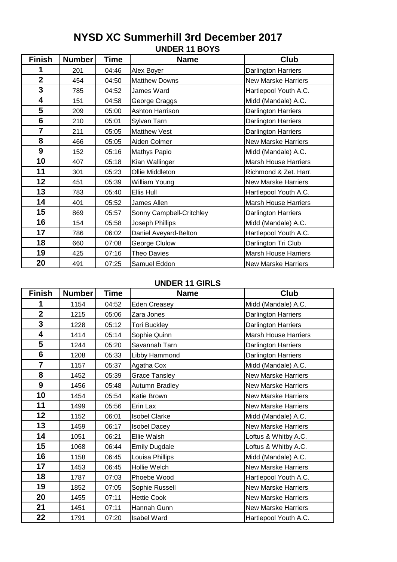# **UNDER 11 BOYS NYSD XC Summerhill 3rd December 2017**

| <b>Finish</b>           | <b>Number</b> | Time  | <b>Name</b>              | Club                        |
|-------------------------|---------------|-------|--------------------------|-----------------------------|
|                         | 201           | 04:46 | Alex Boyer               | <b>Darlington Harriers</b>  |
| $\overline{\mathbf{2}}$ | 454           | 04:50 | <b>Matthew Downs</b>     | <b>New Marske Harriers</b>  |
| 3                       | 785           | 04:52 | James Ward               | Hartlepool Youth A.C.       |
| 4                       | 151           | 04:58 | George Craggs            | Midd (Mandale) A.C.         |
| 5                       | 209           | 05:00 | Ashton Harrison          | Darlington Harriers         |
| $6\phantom{1}6$         | 210           | 05:01 | Sylvan Tarn              | Darlington Harriers         |
| $\overline{7}$          | 211           | 05:05 | <b>Matthew Vest</b>      | <b>Darlington Harriers</b>  |
| 8                       | 466           | 05:05 | Aiden Colmer             | <b>New Marske Harriers</b>  |
| 9                       | 152           | 05:16 | <b>Mathys Papio</b>      | Midd (Mandale) A.C.         |
| 10                      | 407           | 05:18 | Kian Wallinger           | <b>Marsh House Harriers</b> |
| 11                      | 301           | 05:23 | Ollie Middleton          | Richmond & Zet. Harr.       |
| 12                      | 451           | 05:39 | William Young            | <b>New Marske Harriers</b>  |
| 13                      | 783           | 05:40 | Ellis Hull               | Hartlepool Youth A.C.       |
| 14                      | 401           | 05:52 | James Allen              | <b>Marsh House Harriers</b> |
| 15                      | 869           | 05:57 | Sonny Campbell-Critchley | Darlington Harriers         |
| 16                      | 154           | 05:58 | Joseph Phillips          | Midd (Mandale) A.C.         |
| 17                      | 786           | 06:02 | Daniel Aveyard-Belton    | Hartlepool Youth A.C.       |
| 18                      | 660           | 07:08 | George Clulow            | Darlington Tri Club         |
| 19                      | 425           | 07:16 | <b>Theo Davies</b>       | <b>Marsh House Harriers</b> |
| 20                      | 491           | 07:25 | Samuel Eddon             | <b>New Marske Harriers</b>  |

# **UNDER 11 GIRLS**

| <b>Finish</b>  | <b>Number</b> | <b>Time</b> | <b>Name</b>          | Club                        |
|----------------|---------------|-------------|----------------------|-----------------------------|
| 1              | 1154          | 04:52       | Eden Creasey         | Midd (Mandale) A.C.         |
| $\overline{2}$ | 1215          | 05:06       | Zara Jones           | Darlington Harriers         |
| 3              | 1228          | 05:12       | <b>Tori Buckley</b>  | Darlington Harriers         |
| 4              | 1414          | 05:14       | Sophie Quinn         | <b>Marsh House Harriers</b> |
| 5              | 1244          | 05:20       | Savannah Tarn        | Darlington Harriers         |
| 6              | 1208          | 05:33       | Libby Hammond        | Darlington Harriers         |
| $\overline{7}$ | 1157          | 05:37       | Agatha Cox           | Midd (Mandale) A.C.         |
| 8              | 1452          | 05:39       | <b>Grace Tansley</b> | <b>New Marske Harriers</b>  |
| 9              | 1456          | 05:48       | Autumn Bradley       | <b>New Marske Harriers</b>  |
| 10             | 1454          | 05:54       | Katie Brown          | <b>New Marske Harriers</b>  |
| 11             | 1499          | 05:56       | Erin Lax             | <b>New Marske Harriers</b>  |
| 12             | 1152          | 06:01       | <b>Isobel Clarke</b> | Midd (Mandale) A.C.         |
| 13             | 1459          | 06:17       | <b>Isobel Dacey</b>  | <b>New Marske Harriers</b>  |
| 14             | 1051          | 06:21       | Ellie Walsh          | Loftus & Whitby A.C.        |
| 15             | 1068          | 06:44       | <b>Emily Dugdale</b> | Loftus & Whitby A.C.        |
| 16             | 1158          | 06:45       | Louisa Phillips      | Midd (Mandale) A.C.         |
| 17             | 1453          | 06:45       | Hollie Welch         | <b>New Marske Harriers</b>  |
| 18             | 1787          | 07:03       | Phoebe Wood          | Hartlepool Youth A.C.       |
| 19             | 1852          | 07:05       | Sophie Russell       | <b>New Marske Harriers</b>  |
| 20             | 1455          | 07:11       | <b>Hettie Cook</b>   | <b>New Marske Harriers</b>  |
| 21             | 1451          | 07:11       | Hannah Gunn          | <b>New Marske Harriers</b>  |
| 22             | 1791          | 07:20       | <b>Isabel Ward</b>   | Hartlepool Youth A.C.       |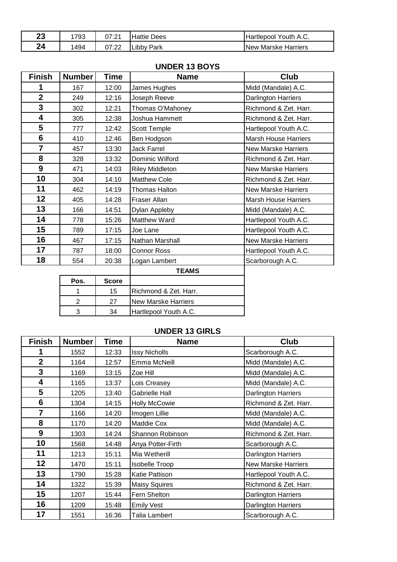| 23 | 1793 | 07:21        | <b>Hattie Dees</b> | Hartlepool Youth A.C. |
|----|------|--------------|--------------------|-----------------------|
| 24 | 1494 | 07:22<br>ے ۔ | <b>Libby Park</b>  | INew Marske Harriers  |

|                | טויט טווים     |              |                            |                             |  |
|----------------|----------------|--------------|----------------------------|-----------------------------|--|
| <b>Finish</b>  | <b>Number</b>  | Time         | <b>Name</b>                | <b>Club</b>                 |  |
| 1              | 167            | 12:00        | James Hughes               | Midd (Mandale) A.C.         |  |
| $\overline{2}$ | 249            | 12:16        | Joseph Reeve               | Darlington Harriers         |  |
| 3              | 302            | 12:21        | Thomas O'Mahoney           | Richmond & Zet. Harr.       |  |
| 4              | 305            | 12:38        | Joshua Hammett             | Richmond & Zet. Harr.       |  |
| 5              | 777            | 12:42        | Scott Temple               | Hartlepool Youth A.C.       |  |
| 6              | 410            | 12:46        | Ben Hodgson                | <b>Marsh House Harriers</b> |  |
| $\overline{7}$ | 457            | 13:30        | <b>Jack Farrel</b>         | <b>New Marske Harriers</b>  |  |
| 8              | 328            | 13:32        | Dominic Wilford            | Richmond & Zet. Harr.       |  |
| 9              | 471            | 14:03        | <b>Riley Middleton</b>     | <b>New Marske Harriers</b>  |  |
| 10             | 304            | 14:10        | <b>Matthew Cole</b>        | Richmond & Zet. Harr.       |  |
| 11             | 462            | 14:19        | <b>Thomas Halton</b>       | <b>New Marske Harriers</b>  |  |
| 12             | 405            | 14:28        | <b>Fraser Allan</b>        | <b>Marsh House Harriers</b> |  |
| 13             | 166            | 14:51        | Dylan Appleby              | Midd (Mandale) A.C.         |  |
| 14             | 778            | 15:26        | Matthew Ward               | Hartlepool Youth A.C.       |  |
| 15             | 789            | 17:15        | Joe Lane                   | Hartlepool Youth A.C.       |  |
| 16             | 467            | 17:15        | Nathan Marshall            | <b>New Marske Harriers</b>  |  |
| 17             | 787            | 18:00        | <b>Connor Ross</b>         | Hartlepool Youth A.C.       |  |
| 18             | 554            | 20:38        | Logan Lambert              | Scarborough A.C.            |  |
|                |                |              | <b>TEAMS</b>               |                             |  |
|                | Pos.           | <b>Score</b> |                            |                             |  |
|                | 1              | 15           | Richmond & Zet. Harr.      |                             |  |
|                | $\overline{2}$ | 27           | <b>New Marske Harriers</b> |                             |  |
|                | 3              | 34           | Hartlepool Youth A.C.      |                             |  |

# **UNDER 13 BOYS**

#### **UNDER 13 GIRLS**

| <b>Finish</b>  | <b>Number</b> | Time  | <b>Name</b>           | Club                       |  |
|----------------|---------------|-------|-----------------------|----------------------------|--|
| 1              | 1552          | 12:33 | <b>Issy Nicholls</b>  | Scarborough A.C.           |  |
| $\overline{2}$ | 1164          | 12:57 | Emma McNeill          | Midd (Mandale) A.C.        |  |
| 3              | 1169          | 13:15 | Zoe Hill              | Midd (Mandale) A.C.        |  |
| 4              | 1165          | 13:37 | Lois Creasey          | Midd (Mandale) A.C.        |  |
| 5              | 1205          | 13:40 | <b>Gabrielle Hall</b> | <b>Darlington Harriers</b> |  |
| 6              | 1304          | 14:15 | <b>Holly McCowie</b>  | Richmond & Zet. Harr.      |  |
| $\overline{7}$ | 1166          | 14:20 | Imogen Lillie         | Midd (Mandale) A.C.        |  |
| 8              | 1170          | 14:20 | Maddie Cox            | Midd (Mandale) A.C.        |  |
| 9              | 1303          | 14:24 | Shannon Robinson      | Richmond & Zet. Harr.      |  |
| 10             | 1568          | 14:48 | Anya Potter-Firth     | Scarborough A.C.           |  |
| 11             | 1213          | 15:11 | Mia Wetherill         | <b>Darlington Harriers</b> |  |
| 12             | 1470          | 15:11 | <b>Isobelle Troop</b> | <b>New Marske Harriers</b> |  |
| 13             | 1790          | 15:28 | Katie Pattison        | Hartlepool Youth A.C.      |  |
| 14             | 1322          | 15:39 | <b>Maisy Squires</b>  | Richmond & Zet. Harr.      |  |
| 15             | 1207          | 15:44 | Fern Shelton          | <b>Darlington Harriers</b> |  |
| 16             | 1209          | 15:48 | <b>Emily Vest</b>     | <b>Darlington Harriers</b> |  |
| 17             | 1551          | 16:36 | Talia Lambert         | Scarborough A.C.           |  |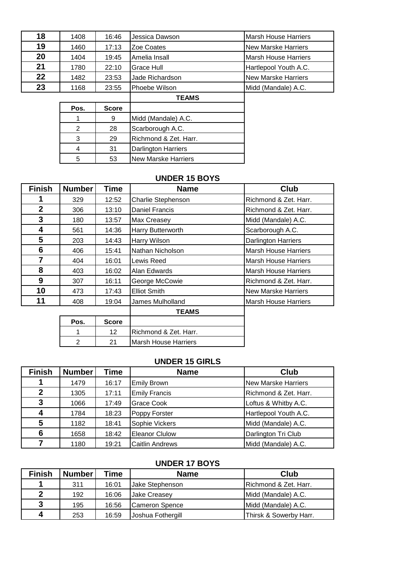| 18 | 1408 | 16:46 | Jessica Dawson  | Marsh House Harriers        |
|----|------|-------|-----------------|-----------------------------|
| 19 | 1460 | 17:13 | Zoe Coates      | <b>INew Marske Harriers</b> |
| 20 | 1404 | 19:45 | Amelia Insall   | Marsh House Harriers        |
| 21 | 1780 | 22:10 | Grace Hull      | Hartlepool Youth A.C.       |
| 22 | 1482 | 23:53 | Jade Richardson | New Marske Harriers         |
| 23 | 1168 | 23:55 | Phoebe Wilson   | Midd (Mandale) A.C.         |
|    |      |       | <b>TEAMS</b>    |                             |

| Pos. | <b>Score</b> |                            |
|------|--------------|----------------------------|
|      | 9            | Midd (Mandale) A.C.        |
| 2    | 28           | Scarborough A.C.           |
| 3    | 29           | Richmond & Zet. Harr.      |
|      | 31           | <b>Darlington Harriers</b> |
|      | 53           | New Marske Harriers        |

1 12 Richmond & Zet. Harr. 2 21 Marsh House Harriers

# **UNDER 15 BOYS**

| <b>Finish</b>  | <b>Number</b> | <b>Time</b>  | <b>Name</b>         | <b>Club</b>                 |
|----------------|---------------|--------------|---------------------|-----------------------------|
|                | 329           | 12:52        | Charlie Stephenson  | Richmond & Zet. Harr.       |
| $\overline{2}$ | 306           | 13:10        | Daniel Francis      | Richmond & Zet. Harr.       |
| 3              | 180           | 13:57        | <b>Max Creasey</b>  | Midd (Mandale) A.C.         |
| 4              | 561           | 14:36        | Harry Butterworth   | Scarborough A.C.            |
| 5              | 203           | 14:43        | <b>Harry Wilson</b> | <b>Darlington Harriers</b>  |
| 6              | 406           | 15:41        | Nathan Nicholson    | <b>Marsh House Harriers</b> |
| 7              | 404           | 16:01        | Lewis Reed          | <b>Marsh House Harriers</b> |
| 8              | 403           | 16:02        | Alan Edwards        | <b>Marsh House Harriers</b> |
| 9              | 307           | 16:11        | George McCowie      | Richmond & Zet. Harr.       |
| 10             | 473           | 17:43        | <b>Elliot Smith</b> | <b>New Marske Harriers</b>  |
| 11             | 408           | 19:04        | James Mulholland    | <b>Marsh House Harriers</b> |
|                |               |              | <b>TEAMS</b>        |                             |
|                | Pos.          | <b>Score</b> |                     |                             |

#### **UNDER 15 GIRLS**

| <b>Finish</b> | <b>Number</b> | Time  | <b>Name</b>            | Club                  |
|---------------|---------------|-------|------------------------|-----------------------|
|               | 1479          | 16:17 | <b>Emily Brown</b>     | New Marske Harriers   |
| 2             | 1305          | 17:11 | <b>Emily Francis</b>   | Richmond & Zet. Harr. |
| 3             | 1066          | 17:49 | <b>Grace Cook</b>      | Loftus & Whitby A.C.  |
| 4             | 1784          | 18:23 | Poppy Forster          | Hartlepool Youth A.C. |
| 5             | 1182          | 18:41 | Sophie Vickers         | Midd (Mandale) A.C.   |
| 6             | 1658          | 18:42 | <b>Eleanor Clulow</b>  | Darlington Tri Club   |
|               | 1180          | 19:21 | <b>Caitlin Andrews</b> | Midd (Mandale) A.C.   |

### **UNDER 17 BOYS**

| <b>Finish</b> | <b>Number</b> | Time  | <b>Name</b>           | Club                   |
|---------------|---------------|-------|-----------------------|------------------------|
| я             | 311           | 16:01 | Jake Stephenson       | Richmond & Zet. Harr.  |
| $\mathbf 2$   | 192           | 16:06 | <b>Jake Creasey</b>   | Midd (Mandale) A.C.    |
| 3             | 195           | 16:56 | <b>Cameron Spence</b> | Midd (Mandale) A.C.    |
| 4             | 253           | 16:59 | Joshua Fothergill     | Thirsk & Sowerby Harr. |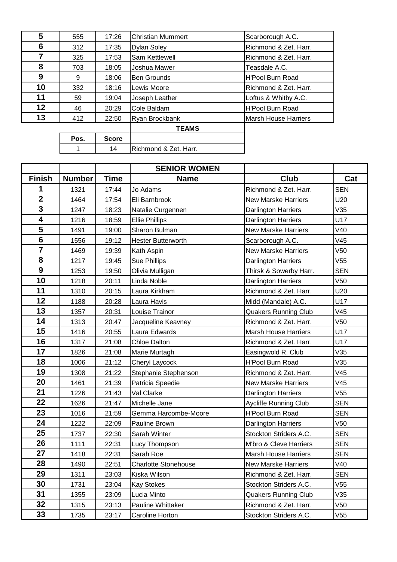| 5  | 555  | 17:26        | <b>Christian Mummert</b> | Scarborough A.C.      |
|----|------|--------------|--------------------------|-----------------------|
| 6  | 312  | 17:35        | Dylan Soley              | Richmond & Zet. Harr. |
|    | 325  | 17:53        | Sam Kettlewell           | Richmond & Zet. Harr. |
| 8  | 703  | 18:05        | Joshua Mawer             | Teasdale A.C.         |
| 9  | 9    | 18:06        | <b>Ben Grounds</b>       | H'Pool Burn Road      |
| 10 | 332  | 18:16        | Lewis Moore              | Richmond & Zet. Harr. |
| 11 | 59   | 19:04        | Joseph Leather           | Loftus & Whitby A.C.  |
| 12 | 46   | 20:29        | Cole Baldam              | H'Pool Burn Road      |
| 13 | 412  | 22:50        | Ryan Brockbank           | Marsh House Harriers  |
|    |      |              | <b>TEAMS</b>             |                       |
|    | Pos. | <b>Score</b> |                          |                       |
|    |      | 14           | Richmond & Zet. Harr.    |                       |

|                         |               |             | <b>SENIOR WOMEN</b>         |                              |                 |
|-------------------------|---------------|-------------|-----------------------------|------------------------------|-----------------|
| <b>Finish</b>           | <b>Number</b> | <b>Time</b> | <b>Name</b>                 | Club                         | Cat             |
| 1                       | 1321          | 17:44       | Jo Adams                    | Richmond & Zet. Harr.        | <b>SEN</b>      |
| $\mathbf{2}$            | 1464          | 17:54       | Eli Barnbrook               | <b>New Marske Harriers</b>   | U20             |
| $\overline{\mathbf{3}}$ | 1247          | 18:23       | Natalie Curgennen           | <b>Darlington Harriers</b>   | V35             |
| $\overline{\mathbf{4}}$ | 1216          | 18:59       | <b>Ellie Phillips</b>       | <b>Darlington Harriers</b>   | U17             |
| 5                       | 1491          | 19:00       | Sharon Bulman               | <b>New Marske Harriers</b>   | V40             |
| $\overline{\mathbf{6}}$ | 1556          | 19:12       | <b>Hester Butterworth</b>   | Scarborough A.C.             | V45             |
|                         | 1469          | 19:39       | Kath Aspin                  | <b>New Marske Harriers</b>   | V <sub>50</sub> |
| 8                       | 1217          | 19:45       | <b>Sue Phillips</b>         | <b>Darlington Harriers</b>   | V55             |
| 9                       | 1253          | 19:50       | Olivia Mulligan             | Thirsk & Sowerby Harr.       | <b>SEN</b>      |
| 10                      | 1218          | 20:11       | Linda Noble                 | Darlington Harriers          | V <sub>50</sub> |
| 11                      | 1310          | 20:15       | Laura Kirkham               | Richmond & Zet. Harr.        | U20             |
| 12                      | 1188          | 20:28       | Laura Havis                 | Midd (Mandale) A.C.          | U17             |
| 13                      | 1357          | 20:31       | Louise Trainor              | <b>Quakers Running Club</b>  | V45             |
| 14                      | 1313          | 20:47       | Jacqueline Keavney          | Richmond & Zet. Harr.        | V <sub>50</sub> |
| 15                      | 1416          | 20:55       | Laura Edwards               | Marsh House Harriers         | U17             |
| 16                      | 1317          | 21:08       | <b>Chloe Dalton</b>         | Richmond & Zet. Harr.        | U17             |
| 17                      | 1826          | 21:08       | Marie Murtagh               | Easingwold R. Club           | V35             |
| 18                      | 1006          | 21:12       | Cheryl Laycock              | <b>H'Pool Burn Road</b>      | V35             |
| 19                      | 1308          | 21:22       | Stephanie Stephenson        | Richmond & Zet. Harr.        | V45             |
| 20                      | 1461          | 21:39       | Patricia Speedie            | <b>New Marske Harriers</b>   | V45             |
| 21                      | 1226          | 21:43       | Val Clarke                  | Darlington Harriers          | V55             |
| 22                      | 1626          | 21:47       | Michelle Jane               | <b>Aycliffe Running Club</b> | <b>SEN</b>      |
| 23                      | 1016          | 21:59       | Gemma Harcombe-Moore        | <b>H'Pool Burn Road</b>      | <b>SEN</b>      |
| 24                      | 1222          | 22:09       | Pauline Brown               | Darlington Harriers          | V50             |
| 25                      | 1737          | 22:30       | Sarah Winter                | Stockton Striders A.C.       | <b>SEN</b>      |
| 26                      | 1111          | 22:31       | Lucy Thompson               | M'bro & Cleve Harriers       | <b>SEN</b>      |
| 27                      | 1418          | 22:31       | Sarah Roe                   | <b>Marsh House Harriers</b>  | <b>SEN</b>      |
| 28                      | 1490          | 22:51       | <b>Charlotte Stonehouse</b> | <b>New Marske Harriers</b>   | V40             |
| 29                      | 1311          | 23:03       | Kiska Wilson                | Richmond & Zet. Harr.        | <b>SEN</b>      |
| 30                      | 1731          | 23:04       | <b>Kay Stokes</b>           | Stockton Striders A.C.       | V55             |
| 31                      | 1355          | 23:09       | Lucia Minto                 | <b>Quakers Running Club</b>  | V35             |
| 32                      | 1315          | 23:13       | Pauline Whittaker           | Richmond & Zet. Harr.        | V50             |
| 33                      | 1735          | 23:17       | Caroline Horton             | Stockton Striders A.C.       | V55             |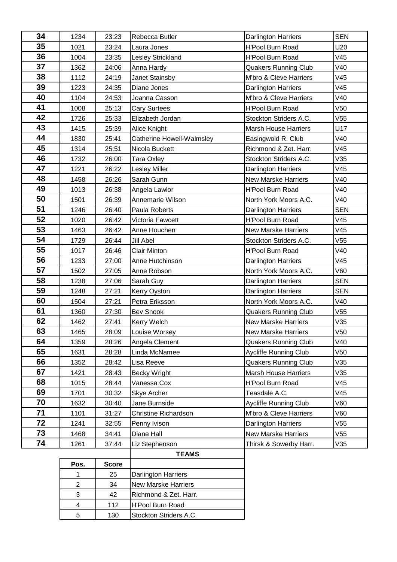| 34 | 1234                    | 23:23        | Rebecca Butler              | Darlington Harriers          | <b>SEN</b>      |
|----|-------------------------|--------------|-----------------------------|------------------------------|-----------------|
| 35 | 1021                    | 23:24        | Laura Jones                 | <b>H'Pool Burn Road</b>      | U20             |
| 36 | 1004                    | 23:35        | Lesley Strickland           | <b>H'Pool Burn Road</b>      | V45             |
| 37 | 1362                    | 24:06        | Anna Hardy                  | <b>Quakers Running Club</b>  | V40             |
| 38 | 1112                    | 24:19        | Janet Stainsby              | M'bro & Cleve Harriers       | V45             |
| 39 | 1223                    | 24:35        | Diane Jones                 | Darlington Harriers          | V45             |
| 40 | 1104                    | 24:53        | Joanna Casson               | M'bro & Cleve Harriers       | V40             |
| 41 | 1008                    | 25:13        | <b>Cary Surtees</b>         | <b>H'Pool Burn Road</b>      | V <sub>50</sub> |
| 42 | 1726                    | 25:33        | Elizabeth Jordan            | Stockton Striders A.C.       | V55             |
| 43 | 1415                    | 25:39        | Alice Knight                | <b>Marsh House Harriers</b>  | U17             |
| 44 | 1830                    | 25:41        | Catherine Howell-Walmsley   | Easingwold R. Club           | V40             |
| 45 | 1314                    | 25:51        | Nicola Buckett              | Richmond & Zet. Harr.        | V45             |
| 46 | 1732                    | 26:00        | Tara Oxley                  | Stockton Striders A.C.       | V35             |
| 47 | 1221                    | 26:22        | <b>Lesley Miller</b>        | Darlington Harriers          | V45             |
| 48 | 1458                    | 26:26        | Sarah Gunn                  | <b>New Marske Harriers</b>   | V40             |
| 49 | 1013                    | 26:38        | Angela Lawlor               | H'Pool Burn Road             | V40             |
| 50 | 1501                    | 26:39        | Annemarie Wilson            | North York Moors A.C.        | V40             |
| 51 | 1246                    | 26:40        | Paula Roberts               | Darlington Harriers          | <b>SEN</b>      |
| 52 | 1020                    | 26:42        | Victoria Fawcett            | <b>H'Pool Burn Road</b>      | V45             |
| 53 | 1463                    | 26:42        | Anne Houchen                | <b>New Marske Harriers</b>   | V45             |
| 54 | 1729                    | 26:44        | Jill Abel                   | Stockton Striders A.C.       | V <sub>55</sub> |
| 55 | 1017                    | 26:46        | <b>Clair Minton</b>         | H'Pool Burn Road             | V40             |
| 56 | 1233                    | 27:00        | Anne Hutchinson             | Darlington Harriers          | V45             |
| 57 | 1502                    | 27:05        | Anne Robson                 | North York Moors A.C.        | V60             |
| 58 | 1238                    | 27:06        | Sarah Guy                   | Darlington Harriers          | <b>SEN</b>      |
| 59 | 1248                    | 27:21        | Kerry Oyston                | Darlington Harriers          | <b>SEN</b>      |
| 60 | 1504                    | 27:21        | Petra Eriksson              | North York Moors A.C.        | V40             |
| 61 | 1360                    | 27:30        | <b>Bev Snook</b>            | <b>Quakers Running Club</b>  | V <sub>55</sub> |
| 62 | 1462                    | 27:41        | Kerry Welch                 | <b>New Marske Harriers</b>   | V35             |
| 63 | 1465                    | 28:09        | Louise Worsey               | New Marske Harriers          | V <sub>50</sub> |
| 64 | 1359                    | 28:26        | Angela Clement              | <b>Quakers Running Club</b>  | V40             |
| 65 | 1631                    | 28:28        | Linda McNamee               | <b>Aycliffe Running Club</b> | V <sub>50</sub> |
| 66 | 1352                    | 28:42        | Lisa Reeve                  | <b>Quakers Running Club</b>  | V35             |
| 67 | 1421                    | 28:43        | Becky Wright                | <b>Marsh House Harriers</b>  | V35             |
| 68 | 1015                    | 28:44        | Vanessa Cox                 | H'Pool Burn Road             | V45             |
| 69 | 1701                    | 30:32        | Skye Archer                 | Teasdale A.C.                | V45             |
| 70 | 1632                    | 30:40        | Jane Burnside               | <b>Aycliffe Running Club</b> | <b>V60</b>      |
| 71 | 1101                    | 31:27        | <b>Christine Richardson</b> | M'bro & Cleve Harriers       | V60             |
| 72 | 1241                    | 32:55        | Penny Ivison                | Darlington Harriers          | V55             |
| 73 | 1468                    | 34:41        | Diane Hall                  | <b>New Marske Harriers</b>   | V55             |
| 74 | 1261                    | 37:44        | Liz Stephenson              | Thirsk & Sowerby Harr.       | V35             |
|    |                         |              | <b>TEAMS</b>                |                              |                 |
|    | Pos.                    | <b>Score</b> |                             |                              |                 |
|    | 1                       | 25           | Darlington Harriers         |                              |                 |
|    | $\overline{c}$          | 34           | <b>New Marske Harriers</b>  |                              |                 |
|    | 3                       | 42           | Richmond & Zet. Harr.       |                              |                 |
|    | $\overline{\mathbf{4}}$ | 112          | H'Pool Burn Road            |                              |                 |

5 130 Stockton Striders A.C.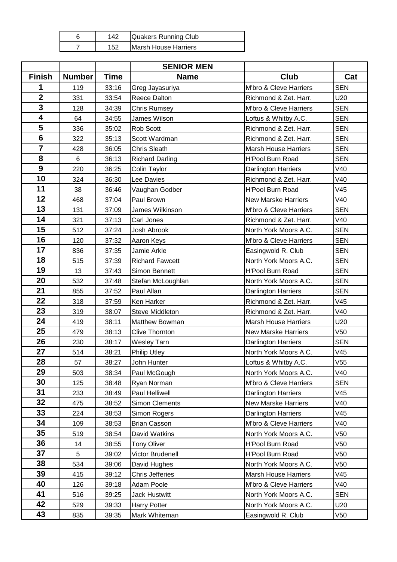|     | Quakers Running Club        |
|-----|-----------------------------|
| 152 | <b>Marsh House Harriers</b> |

|                         |                |             | <b>SENIOR MEN</b>      |                             |                 |
|-------------------------|----------------|-------------|------------------------|-----------------------------|-----------------|
| <b>Finish</b>           | <b>Number</b>  | <b>Time</b> | <b>Name</b>            | <b>Club</b>                 | Cat             |
| 1                       | 119            | 33:16       | Greg Jayasuriya        | M'bro & Cleve Harriers      | <b>SEN</b>      |
| $\overline{2}$          | 331            | 33:54       | Reece Dalton           | Richmond & Zet. Harr.       | U20             |
| 3                       | 128            | 34:39       | <b>Chris Rumsey</b>    | M'bro & Cleve Harriers      | <b>SEN</b>      |
| $\overline{\mathbf{4}}$ | 64             | 34:55       | James Wilson           | Loftus & Whitby A.C.        | <b>SEN</b>      |
| 5                       | 336            | 35:02       | Rob Scott              | Richmond & Zet. Harr.       | <b>SEN</b>      |
| $6\phantom{1}6$         | 322            | 35:13       | Scott Wardman          | Richmond & Zet. Harr.       | <b>SEN</b>      |
| $\overline{7}$          | 428            | 36:05       | Chris Sleath           | <b>Marsh House Harriers</b> | <b>SEN</b>      |
| 8                       | $6\phantom{a}$ | 36:13       | <b>Richard Darling</b> | <b>H'Pool Burn Road</b>     | <b>SEN</b>      |
| 9                       | 220            | 36:25       | Colin Taylor           | <b>Darlington Harriers</b>  | V40             |
| 10                      | 324            | 36:30       | Lee Davies             | Richmond & Zet. Harr.       | V40             |
| 11                      | 38             | 36:46       | Vaughan Godber         | H'Pool Burn Road            | V45             |
| 12                      | 468            | 37:04       | Paul Brown             | <b>New Marske Harriers</b>  | V40             |
| 13                      | 131            | 37:09       | James Wilkinson        | M'bro & Cleve Harriers      | <b>SEN</b>      |
| 14                      | 321            | 37:13       | Carl Jones             | Richmond & Zet. Harr.       | V40             |
| 15                      | 512            | 37:24       | Josh Abrook            | North York Moors A.C.       | <b>SEN</b>      |
| 16                      | 120            | 37:32       | Aaron Keys             | M'bro & Cleve Harriers      | <b>SEN</b>      |
| 17                      | 836            | 37:35       | Jamie Arkle            | Easingwold R. Club          | <b>SEN</b>      |
| 18                      | 515            | 37:39       | <b>Richard Fawcett</b> | North York Moors A.C.       | <b>SEN</b>      |
| 19                      | 13             | 37:43       | Simon Bennett          | <b>H'Pool Burn Road</b>     | <b>SEN</b>      |
| 20                      | 532            | 37:48       | Stefan McLoughlan      | North York Moors A.C.       | <b>SEN</b>      |
| 21                      | 855            | 37:52       | Paul Allan             | <b>Darlington Harriers</b>  | <b>SEN</b>      |
| 22                      | 318            | 37:59       | Ken Harker             | Richmond & Zet. Harr.       | V45             |
| 23                      | 319            | 38:07       | Steve Middleton        | Richmond & Zet. Harr.       | V40             |
| 24                      | 419            | 38:11       | Matthew Bowman         | <b>Marsh House Harriers</b> | U20             |
| 25                      | 479            | 38:13       | <b>Clive Thornton</b>  | <b>New Marske Harriers</b>  | V50             |
| 26                      | 230            | 38:17       | <b>Wesley Tarn</b>     | <b>Darlington Harriers</b>  | <b>SEN</b>      |
| 27                      | 514            | 38:21       | <b>Philip Utley</b>    | North York Moors A.C.       | V45             |
| 28                      | 57             | 38:27       | John Hunter            | Loftus & Whitby A.C.        | V <sub>55</sub> |
| 29                      | 503            | 38:34       | Paul McGough           | North York Moors A.C.       | V40             |
| 30                      | 125            | 38:48       | Ryan Norman            | M'bro & Cleve Harriers      | <b>SEN</b>      |
| 31                      | 233            | 38:49       | Paul Helliwell         | <b>Darlington Harriers</b>  | V45             |
| 32                      | 475            | 38:52       | Simon Clements         | <b>New Marske Harriers</b>  | V40             |
| 33                      | 224            | 38:53       | Simon Rogers           | <b>Darlington Harriers</b>  | V45             |
| 34                      | 109            | 38:53       | <b>Brian Casson</b>    | M'bro & Cleve Harriers      | V40             |
| 35                      | 519            | 38:54       | David Watkins          | North York Moors A.C.       | V50             |
| 36                      | 14             | 38:55       | <b>Tony Oliver</b>     | H'Pool Burn Road            | V50             |
| 37                      | 5              | 39:02       | Victor Brudenell       | H'Pool Burn Road            | V50             |
| 38                      | 534            | 39:06       | David Hughes           | North York Moors A.C.       | V50             |
| 39                      | 415            | 39:12       | <b>Chris Jefferies</b> | <b>Marsh House Harriers</b> | V45             |
| 40                      | 126            | 39:18       | Adam Poole             | M'bro & Cleve Harriers      | V40             |
| 41                      | 516            | 39:25       | <b>Jack Hustwitt</b>   | North York Moors A.C.       | <b>SEN</b>      |
| 42                      | 529            | 39:33       | Harry Potter           | North York Moors A.C.       | U20             |
| 43                      | 835            | 39:35       | Mark Whiteman          | Easingwold R. Club          | V50             |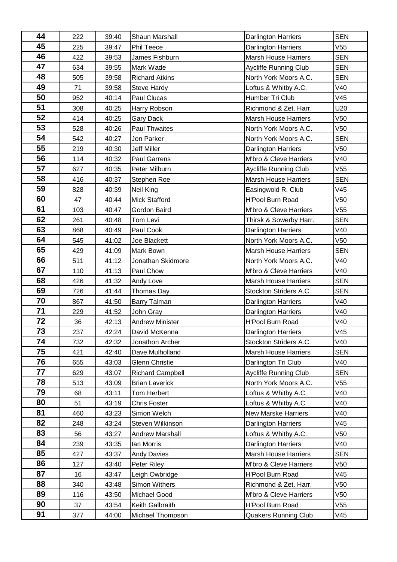| 44       | 222 | 39:40 | Shaun Marshall          | <b>Darlington Harriers</b>   | <b>SEN</b>      |
|----------|-----|-------|-------------------------|------------------------------|-----------------|
| 45       | 225 | 39:47 | Phil Teece              | <b>Darlington Harriers</b>   | V <sub>55</sub> |
| 46       | 422 | 39:53 | James Fishburn          | <b>Marsh House Harriers</b>  | <b>SEN</b>      |
| 47       | 634 | 39:55 | Mark Wade               | Aycliffe Running Club        | <b>SEN</b>      |
| 48       | 505 | 39:58 | <b>Richard Atkins</b>   | North York Moors A.C.        | <b>SEN</b>      |
| 49       | 71  | 39:58 | <b>Steve Hardy</b>      | Loftus & Whitby A.C.         | V40             |
| 50       | 952 | 40:14 | Paul Clucas             | Humber Tri Club              | V45             |
| 51       | 308 | 40:25 | Harry Robson            | Richmond & Zet. Harr.        | U20             |
| 52       | 414 | 40:25 | <b>Gary Dack</b>        | <b>Marsh House Harriers</b>  | V50             |
| 53       | 528 | 40:26 | Paul Thwaites           | North York Moors A.C.        | V50             |
| 54       | 542 | 40:27 | Jon Parker              | North York Moors A.C.        | <b>SEN</b>      |
| 55       | 219 | 40:30 | Jeff Miller             | Darlington Harriers          | V50             |
| 56       | 114 | 40:32 | Paul Garrens            | M'bro & Cleve Harriers       | V40             |
| 57       | 627 | 40:35 | Peter Milburn           | Aycliffe Running Club        | V55             |
| 58       | 416 | 40:37 | Stephen Roe             | <b>Marsh House Harriers</b>  | <b>SEN</b>      |
| 59       | 828 | 40:39 | Neil King               | Easingwold R. Club           | V45             |
| 60       | 47  | 40:44 | <b>Mick Stafford</b>    | <b>H'Pool Burn Road</b>      | V <sub>50</sub> |
| 61       | 103 | 40:47 | Gordon Baird            | M'bro & Cleve Harriers       | V55             |
| 62       | 261 | 40:48 | Tom Levi                | Thirsk & Sowerby Harr.       | <b>SEN</b>      |
| 63       | 868 | 40:49 | Paul Cook               | <b>Darlington Harriers</b>   | V40             |
| 64       | 545 | 41:02 | Joe Blackett            | North York Moors A.C.        | V50             |
| 65       | 429 | 41:09 | Mark Bown               | <b>Marsh House Harriers</b>  | <b>SEN</b>      |
| 66       | 511 | 41:12 | Jonathan Skidmore       | North York Moors A.C.        | V40             |
| 67       | 110 | 41:13 | Paul Chow               | M'bro & Cleve Harriers       | V40             |
| 68       | 426 | 41:32 | Andy Love               | <b>Marsh House Harriers</b>  | <b>SEN</b>      |
| 69       | 726 | 41:44 | Thomas Day              | Stockton Striders A.C.       | <b>SEN</b>      |
| 70       | 867 | 41:50 | Barry Talman            | <b>Darlington Harriers</b>   | V40             |
| 71       | 229 | 41:52 | John Gray               | <b>Darlington Harriers</b>   | V40             |
| 72       | 36  | 42:13 | <b>Andrew Minister</b>  | H'Pool Burn Road             | V40             |
| 73       | 237 | 42:24 | David McKenna           | Darlington Harriers          | V45             |
| 74       | 732 | 42:32 | Jonathon Archer         | Stockton Striders A.C.       | V40             |
| 75       | 421 | 42:40 | Dave Mulholland         | <b>Marsh House Harriers</b>  | <b>SEN</b>      |
| 76       | 655 | 43:03 | <b>Glenn Christie</b>   | Darlington Tri Club          | V40             |
| 77       | 629 | 43:07 | <b>Richard Campbell</b> | <b>Aycliffe Running Club</b> | <b>SEN</b>      |
| 78       | 513 | 43:09 | <b>Brian Laverick</b>   | North York Moors A.C.        | V55             |
| 79       | 68  | 43:11 | Tom Herbert             | Loftus & Whitby A.C.         | V40             |
| 80       | 51  | 43:19 | <b>Chris Foster</b>     | Loftus & Whitby A.C.         | V40             |
| 81       | 460 | 43:23 | Simon Welch             | <b>New Marske Harriers</b>   | V40             |
| 82       | 248 | 43:24 | Steven Wilkinson        | <b>Darlington Harriers</b>   | V45             |
| 83       | 56  | 43:27 | <b>Andrew Marshall</b>  | Loftus & Whitby A.C.         | V50             |
| 84<br>85 | 239 | 43:35 | Ian Morris              | Darlington Harriers          | V40             |
| 86       | 427 | 43:37 | <b>Andy Davies</b>      | <b>Marsh House Harriers</b>  | <b>SEN</b>      |
| 87       | 127 | 43:40 | Peter Riley             | M'bro & Cleve Harriers       | V50             |
|          | 16  | 43:47 | Leigh Owbridge          | H'Pool Burn Road             | V45             |
| 88<br>89 | 340 | 43:48 | Simon Withers           | Richmond & Zet. Harr.        | V50             |
|          | 116 | 43:50 | Michael Good            | M'bro & Cleve Harriers       | V50             |
| 90       | 37  | 43:54 | Keith Galbraith         | H'Pool Burn Road             | V55             |
| 91       | 377 | 44:00 | Michael Thompson        | <b>Quakers Running Club</b>  | V45             |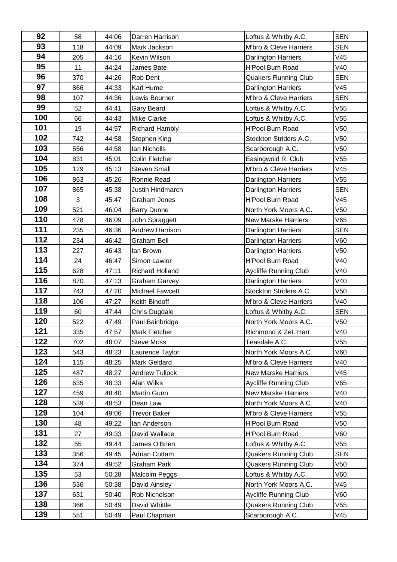| 92  | 58  | 44:06 | Darren Harrison        | Loftus & Whitby A.C.         | <b>SEN</b>      |
|-----|-----|-------|------------------------|------------------------------|-----------------|
| 93  | 118 | 44:09 | Mark Jackson           | M'bro & Cleve Harriers       | <b>SEN</b>      |
| 94  | 205 | 44:16 | Kevin Wilson           | <b>Darlington Harriers</b>   | V45             |
| 95  | 11  | 44:24 | James Bate             | <b>H'Pool Burn Road</b>      | V40             |
| 96  | 370 | 44:26 | Rob Dent               | <b>Quakers Running Club</b>  | <b>SEN</b>      |
| 97  | 866 | 44:33 | Karl Hume              | <b>Darlington Harriers</b>   | V45             |
| 98  | 107 | 44:36 | Lewis Bourner          | M'bro & Cleve Harriers       | <b>SEN</b>      |
| 99  | 52  | 44:41 | <b>Gary Beard</b>      | Loftus & Whitby A.C.         | V55             |
| 100 | 66  | 44:43 | <b>Mike Clarke</b>     | Loftus & Whitby A.C.         | V55             |
| 101 | 19  | 44:57 | <b>Richard Hambly</b>  | <b>H'Pool Burn Road</b>      | V <sub>50</sub> |
| 102 | 742 | 44:58 | Stephen King           | Stockton Striders A.C.       | V <sub>50</sub> |
| 103 | 556 | 44:58 | Ian Nicholls           | Scarborough A.C.             | V50             |
| 104 | 831 | 45:01 | <b>Colin Fletcher</b>  | Easingwold R. Club           | V <sub>55</sub> |
| 105 | 129 | 45:13 | <b>Steven Small</b>    | M'bro & Cleve Harriers       | V45             |
| 106 | 863 | 45:26 | Ronnie Read            | <b>Darlington Harriers</b>   | V55             |
| 107 | 865 | 45:38 | Justin Hindmarch       | <b>Darlington Harriers</b>   | <b>SEN</b>      |
| 108 | 3   | 45:47 | Graham Jones           | <b>H'Pool Burn Road</b>      | V45             |
| 109 | 521 | 46:04 | <b>Barry Dunne</b>     | North York Moors A.C.        | V50             |
| 110 | 478 | 46:09 | John Spraggett         | <b>New Marske Harriers</b>   | V65             |
| 111 | 235 | 46:36 | <b>Andrew Harrison</b> | <b>Darlington Harriers</b>   | <b>SEN</b>      |
| 112 | 234 | 46:42 | <b>Graham Bell</b>     | Darlington Harriers          | V60             |
| 113 | 227 | 46:43 | lan Brown              | Darlington Harriers          | V <sub>50</sub> |
| 114 | 24  | 46:47 | Simon Lawlor           | <b>H'Pool Burn Road</b>      | V40             |
| 115 | 628 | 47:11 | <b>Richard Holland</b> | Aycliffe Running Club        | V40             |
| 116 | 870 | 47:13 | <b>Graham Garvey</b>   | <b>Darlington Harriers</b>   | V40             |
| 117 | 743 | 47:20 | <b>Michael Fawcett</b> | Stockton Striders A.C.       | V50             |
| 118 | 106 | 47:27 | Keith Bindoff          | M'bro & Cleve Harriers       | V40             |
| 119 | 60  | 47:44 | Chris Dugdale          | Loftus & Whitby A.C.         | <b>SEN</b>      |
| 120 | 522 | 47:49 | Paul Bainbridge        | North York Moors A.C.        | V50             |
| 121 | 335 | 47:57 | Mark Fletcher          | Richmond & Zet. Harr.        | V40             |
| 122 | 702 | 48:07 | <b>Steve Moss</b>      | Teasdale A.C.                | V55             |
| 123 | 543 | 48:23 | Laurence Taylor        | North York Moors A.C.        | V60             |
| 124 | 115 | 48:25 | Mark Geldard           | M'bro & Cleve Harriers       | V40             |
| 125 | 487 | 48:27 | <b>Andrew Tullock</b>  | <b>New Marske Harriers</b>   | V45             |
| 126 | 635 | 48:33 | Alan Wilks             | <b>Aycliffe Running Club</b> | V65             |
| 127 | 459 | 48:40 | Martin Gunn            | <b>New Marske Harriers</b>   | V40             |
| 128 | 539 | 48:53 | Dean Law               | North York Moors A.C.        | V40             |
| 129 | 104 | 49:06 | <b>Trevor Baker</b>    | M'bro & Cleve Harriers       | V55             |
| 130 | 48  | 49:22 | lan Anderson           | <b>H'Pool Burn Road</b>      | V50             |
| 131 | 27  | 49:33 | David Wallace          | H'Pool Burn Road             | V60             |
| 132 | 55  | 49:44 | James O'Brien          | Loftus & Whitby A.C.         | V <sub>55</sub> |
| 133 | 356 | 49:45 | <b>Adrian Cottam</b>   | <b>Quakers Running Club</b>  | <b>SEN</b>      |
| 134 | 374 | 49:52 | Graham Park            | <b>Quakers Running Club</b>  | V50             |
| 135 | 53  | 50:28 | Malcolm Peggs          | Loftus & Whitby A.C.         | V60             |
| 136 | 536 | 50:38 | David Ainsley          | North York Moors A.C.        | V45             |
| 137 | 631 | 50:40 | Rob Nicholson          | Aycliffe Running Club        | V60             |
| 138 | 366 | 50:49 | David Whittle          | <b>Quakers Running Club</b>  | V55             |
| 139 | 551 | 50:49 | Paul Chapman           | Scarborough A.C.             | V45             |